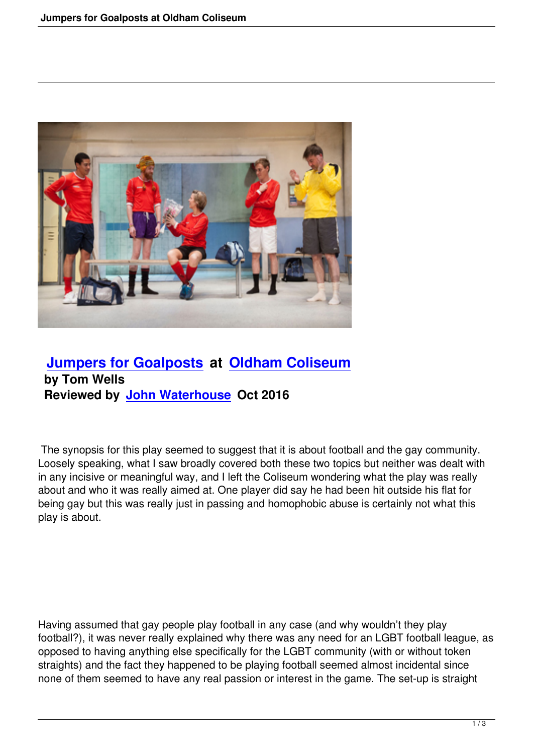

## **Jumpers for Goalposts at Oldham Coliseum by Tom Wells [Reviewed by John Waterho](jumpers-for-goalposts.html)us[e Oct 2016](http://www.coliseum.org.uk/)**

 The synopsis for t[his play seemed to sug](writers.html#john-waterhouse)gest that it is about football and the gay community. Loosely speaking, what I saw broadly covered both these two topics but neither was dealt with in any incisive or meaningful way, and I left the Coliseum wondering what the play was really about and who it was really aimed at. One player did say he had been hit outside his flat for being gay but this was really just in passing and homophobic abuse is certainly not what this play is about.

Having assumed that gay people play football in any case (and why wouldn't they play football?), it was never really explained why there was any need for an LGBT football league, as opposed to having anything else specifically for the LGBT community (with or without token straights) and the fact they happened to be playing football seemed almost incidental since none of them seemed to have any real passion or interest in the game. The set-up is straight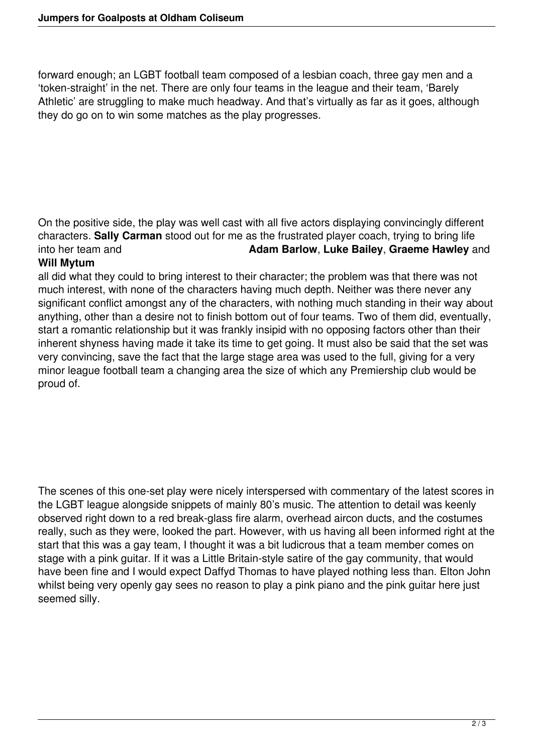forward enough; an LGBT football team composed of a lesbian coach, three gay men and a 'token-straight' in the net. There are only four teams in the league and their team, 'Barely Athletic' are struggling to make much headway. And that's virtually as far as it goes, although they do go on to win some matches as the play progresses.

On the positive side, the play was well cast with all five actors displaying convincingly different characters. **Sally Carman** stood out for me as the frustrated player coach, trying to bring life into her team and **Adam Barlow**, **Luke Bailey**, **Graeme Hawley** and

## **Will Mytum**

all did what they could to bring interest to their character; the problem was that there was not much interest, with none of the characters having much depth. Neither was there never any significant conflict amongst any of the characters, with nothing much standing in their way about anything, other than a desire not to finish bottom out of four teams. Two of them did, eventually, start a romantic relationship but it was frankly insipid with no opposing factors other than their inherent shyness having made it take its time to get going. It must also be said that the set was very convincing, save the fact that the large stage area was used to the full, giving for a very minor league football team a changing area the size of which any Premiership club would be proud of.

The scenes of this one-set play were nicely interspersed with commentary of the latest scores in the LGBT league alongside snippets of mainly 80's music. The attention to detail was keenly observed right down to a red break-glass fire alarm, overhead aircon ducts, and the costumes really, such as they were, looked the part. However, with us having all been informed right at the start that this was a gay team, I thought it was a bit ludicrous that a team member comes on stage with a pink guitar. If it was a Little Britain-style satire of the gay community, that would have been fine and I would expect Daffyd Thomas to have played nothing less than. Elton John whilst being very openly gay sees no reason to play a pink piano and the pink guitar here just seemed silly.